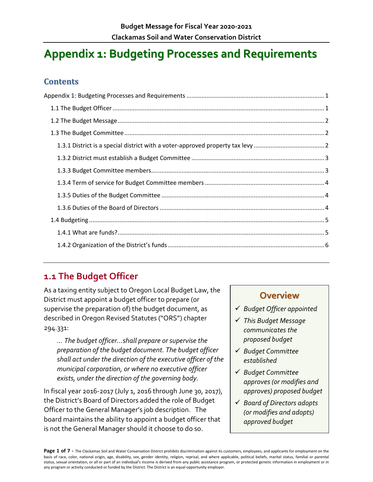# <span id="page-0-0"></span>**Appendix 1: Budgeting Processes and Requirements**

#### **Contents**

## <span id="page-0-1"></span>**1.1 The Budget Officer**

As a taxing entity subject to Oregon Local Budget Law, the District must appoint a budget officer to prepare (or supervise the preparation of) the budget document, as described in Oregon Revised Statutes ("ORS") chapter 294.331:

*… The budget officer…shall prepare or supervise the preparation of the budget document. The budget officer shall act under the direction of the executive officer of the municipal corporation, or where no executive officer exists, under the direction of the governing body.*

In fiscal year 2016-2017 (July 1, 2016 through June 30, 2017), the District's Board of Directors added the role of Budget Officer to the General Manager's job description. The board maintains the ability to appoint a budget officer that is not the General Manager should it choose to do so.

### **Overview**

- *Budget Officer appointed*
- *This Budget Message communicates the proposed budget*
- *Budget Committee established*
- *Budget Committee approves (or modifies and approves) proposed budget*
- *Board of Directors adopts (or modifies and adopts) approved budget*

Page 1 of 7 - The Clackamas Soil and Water Conservation District prohibits discrimination against its customers, employees, and applicants for employment on the basis of race, color, national origin, age, disability, sex, gender identity, religion, reprisal, and where applicable, political beliefs, marital status, familial or parental status, sexual orientation, or all or part of an individual's income is derived from any public assistance program, or protected genetic information in employment or in any program or activity conducted or funded by the District. The District is an equal opportunity employer.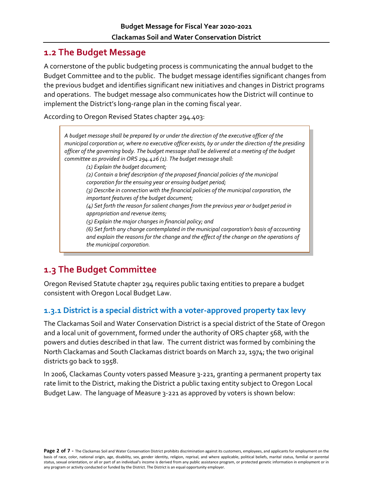#### <span id="page-1-0"></span>**1.2 The Budget Message**

A cornerstone of the public budgeting process is communicating the annual budget to the Budget Committee and to the public. The budget message identifies significant changes from the previous budget and identifies significant new initiatives and changes in District programs and operations. The budget message also communicates how the District will continue to implement the District's long-range plan in the coming fiscal year.

According to Oregon Revised States chapter 294.403:

*A budget message shall be prepared by or under the direction of the executive officer of the municipal corporation or, where no executive officer exists, by or under the direction of the presiding officer of the governing body. The budget message shall be delivered at a meeting of the budget committee as provided in ORS 294.426 (1). The budget message shall: (1) Explain the budget document; (2) Contain a brief description of the proposed financial policies of the municipal corporation for the ensuing year or ensuing budget period; (3) Describe in connection with the financial policies of the municipal corporation, the important features of the budget document; (4) Set forth the reason for salient changes from the previous year or budget period in appropriation and revenue items; (5) Explain the major changes in financial policy; and (6) Set forth any change contemplated in the municipal corporation's basis of accounting and explain the reasons for the change and the effect of the change on the operations of the municipal corporation.*

## <span id="page-1-1"></span>**1.3 The Budget Committee**

Oregon Revised Statute chapter 294 requires public taxing entities to prepare a budget consistent with Oregon Local Budget Law.

#### <span id="page-1-2"></span>**1.3.1 District is a special district with a voter-approved property tax levy**

The Clackamas Soil and Water Conservation District is a special district of the State of Oregon and a local unit of government, formed under the authority of ORS chapter 568, with the powers and duties described in that law. The current district was formed by combining the North Clackamas and South Clackamas district boards on March 22, 1974; the two original districts go back to 1958.

In 2006, Clackamas County voters passed Measure 3-221, granting a permanent property tax rate limit to the District, making the District a public taxing entity subject to Oregon Local Budget Law. The language of Measure 3-221 as approved by voters is shown below: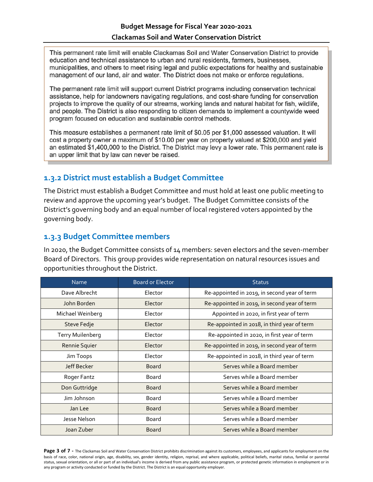This permanent rate limit will enable Clackamas Soil and Water Conservation District to provide education and technical assistance to urban and rural residents, farmers, businesses, municipalities, and others to meet rising legal and public expectations for healthy and sustainable management of our land, air and water. The District does not make or enforce regulations.

The permanent rate limit will support current District programs including conservation technical assistance, help for landowners navigating regulations, and cost-share funding for conservation projects to improve the quality of our streams, working lands and natural habitat for fish, wildlife, and people. The District is also responding to citizen demands to implement a countywide weed program focused on education and sustainable control methods.

This measure establishes a permanent rate limit of \$0.05 per \$1,000 assessed valuation. It will cost a property owner a maximum of \$10.00 per year on property valued at \$200,000 and yield an estimated \$1,400,000 to the District. The District may levy a lower rate. This permanent rate is an upper limit that by law can never be raised.

#### <span id="page-2-0"></span>**1.3.2 District must establish a Budget Committee**

The District must establish a Budget Committee and must hold at least one public meeting to review and approve the upcoming year's budget. The Budget Committee consists of the District's governing body and an equal number of local registered voters appointed by the governing body.

#### <span id="page-2-1"></span>**1.3.3 Budget Committee members**

In 2020, the Budget Committee consists of 14 members: seven electors and the seven-member Board of Directors. This group provides wide representation on natural resources issues and opportunities throughout the District.

| <b>Name</b>             | <b>Board or Elector</b> | <b>Status</b>                                |
|-------------------------|-------------------------|----------------------------------------------|
| Dave Albrecht           | Elector                 | Re-appointed in 2019, in second year of term |
| John Borden             | Elector                 | Re-appointed in 2019, in second year of term |
| Michael Weinberg        | Elector                 | Appointed in 2020, in first year of term     |
| Steve Fedje             | Elector                 | Re-appointed in 2018, in third year of term  |
| <b>Terry Muilenberg</b> | Elector                 | Re-appointed in 2020, in first year of term  |
| Rennie Squier           | Elector                 | Re-appointed in 2019, in second year of term |
| Jim Toops               | Elector                 | Re-appointed in 2018, in third year of term  |
| Jeff Becker             | <b>Board</b>            | Serves while a Board member                  |
| Roger Fantz             | <b>Board</b>            | Serves while a Board member                  |
| Don Guttridge           | <b>Board</b>            | Serves while a Board member                  |
| Jim Johnson             | Board                   | Serves while a Board member                  |
| Jan Lee                 | <b>Board</b>            | Serves while a Board member                  |
| Jesse Nelson            | Board                   | Serves while a Board member                  |
| Joan Zuber              | <b>Board</b>            | Serves while a Board member                  |

Page 3 of 7 - The Clackamas Soil and Water Conservation District prohibits discrimination against its customers, employees, and applicants for employment on the basis of race, color, national origin, age, disability, sex, gender identity, religion, reprisal, and where applicable, political beliefs, marital status, familial or parental status, sexual orientation, or all or part of an individual's income is derived from any public assistance program, or protected genetic information in employment or in any program or activity conducted or funded by the District. The District is an equal opportunity employer.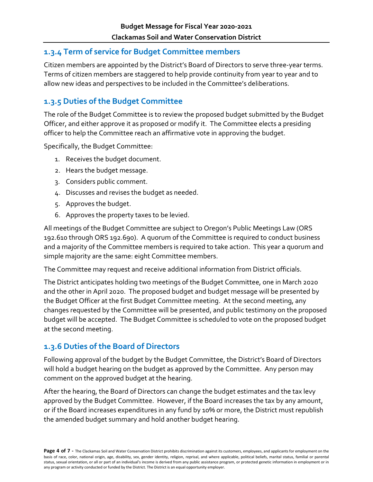#### <span id="page-3-0"></span>**1.3.4 Term of service for Budget Committee members**

Citizen members are appointed by the District's Board of Directors to serve three-year terms. Terms of citizen members are staggered to help provide continuity from year to year and to allow new ideas and perspectives to be included in the Committee's deliberations.

#### <span id="page-3-1"></span>**1.3.5 Duties of the Budget Committee**

The role of the Budget Committee is to review the proposed budget submitted by the Budget Officer, and either approve it as proposed or modify it. The Committee elects a presiding officer to help the Committee reach an affirmative vote in approving the budget.

Specifically, the Budget Committee:

- 1. Receives the budget document.
- 2. Hears the budget message.
- 3. Considers public comment.
- 4. Discusses and revises the budget as needed.
- 5. Approves the budget.
- 6. Approves the property taxes to be levied.

All meetings of the Budget Committee are subject to Oregon's Public Meetings Law (ORS 192.610 through ORS 192.690). A quorum of the Committee is required to conduct business and a majority of the Committee members is required to take action. This year a quorum and simple majority are the same: eight Committee members.

The Committee may request and receive additional information from District officials.

The District anticipates holding two meetings of the Budget Committee, one in March 2020 and the other in April 2020. The proposed budget and budget message will be presented by the Budget Officer at the first Budget Committee meeting. At the second meeting, any changes requested by the Committee will be presented, and public testimony on the proposed budget will be accepted. The Budget Committee is scheduled to vote on the proposed budget at the second meeting.

#### <span id="page-3-2"></span>**1.3.6 Duties of the Board of Directors**

Following approval of the budget by the Budget Committee, the District's Board of Directors will hold a budget hearing on the budget as approved by the Committee. Any person may comment on the approved budget at the hearing.

After the hearing, the Board of Directors can change the budget estimates and the tax levy approved by the Budget Committee. However, if the Board increases the tax by any amount, or if the Board increases expenditures in any fund by 10% or more, the District must republish the amended budget summary and hold another budget hearing.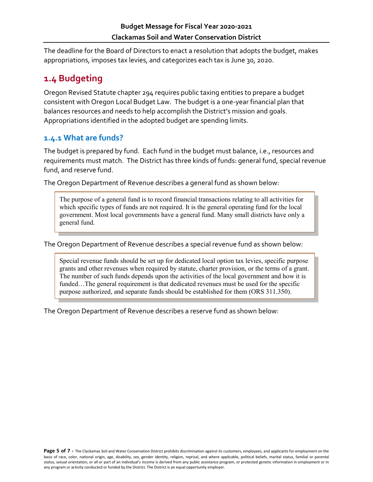The deadline for the Board of Directors to enact a resolution that adopts the budget, makes appropriations, imposes tax levies, and categorizes each tax is June 30, 2020.

### <span id="page-4-0"></span>**1.4 Budgeting**

Oregon Revised Statute chapter 294 requires public taxing entities to prepare a budget consistent with Oregon Local Budget Law. The budget is a one-year financial plan that balances resources and needs to help accomplish the District's mission and goals. Appropriations identified in the adopted budget are spending limits.

#### <span id="page-4-1"></span>**1.4.1 What are funds?**

The budget is prepared by fund. Each fund in the budget must balance, i.e., resources and requirements must match. The District has three kinds of funds: general fund, special revenue fund, and reserve fund.

The Oregon Department of Revenue describes a general fund as shown below:

The purpose of a general fund is to record financial transactions relating to all activities for which specific types of funds are not required. It is the general operating fund for the local government. Most local governments have a general fund. Many small districts have only a general fund.

The Oregon Department of Revenue describes a special revenue fund as shown below:

Special revenue funds should be set up for dedicated local option tax levies, specific purpose grants and other revenues when required by statute, charter provision, or the terms of a grant. The number of such funds depends upon the activities of the local government and how it is funded...The general requirement is that dedicated revenues must be used for the specific purpose authorized, and separate funds should be established for them (ORS 311.350).

The Oregon Department of Revenue describes a reserve fund as shown below: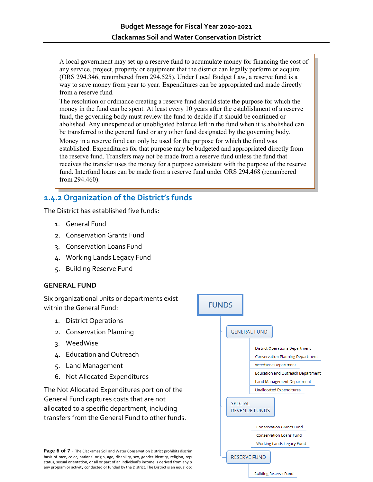A local government may set up a reserve fund to accumulate money for financing the cost of any service, project, property or equipment that the district can legally perform or acquire (ORS 294.346, renumbered from 294.525). Under Local Budget Law, a reserve fund is a way to save money from year to year. Expenditures can be appropriated and made directly from a reserve fund.

The resolution or ordinance creating a reserve fund should state the purpose for which the money in the fund can be spent. At least every 10 years after the establishment of a reserve fund, the governing body must review the fund to decide if it should be continued or abolished. Any unexpended or unobligated balance left in the fund when it is abolished can be transferred to the general fund or any other fund designated by the governing body.

Money in a reserve fund can only be used for the purpose for which the fund was established. Expenditures for that purpose may be budgeted and appropriated directly from the reserve fund. Transfers may not be made from a reserve fund unless the fund that receives the transfer uses the money for a purpose consistent with the purpose of the reserve fund. Interfund loans can be made from a reserve fund under ORS 294.468 (renumbered from 294.460).

#### <span id="page-5-0"></span>**1.4.2 Organization of the District's funds**

The District has established five funds:

- 1. General Fund
- 2. Conservation Grants Fund
- 3. Conservation Loans Fund
- 4. Working Lands Legacy Fund
- 5. Building Reserve Fund

#### **GENERAL FUND**

Six organizational units or departments exist within the General Fund:

- 1. District Operations
- 2. Conservation Planning
- 3. WeedWise
- 4. Education and Outreach
- 5. Land Management
- 6. Not Allocated Expenditures

The Not Allocated Expenditures portion of the General Fund captures costs that are not allocated to a specific department, including transfers from the General Fund to other funds.

**Page 6 of 7 -** The Clackamas Soil and Water Conservation District prohibits discrim<br>
basis of race, color, national origin, age, disability, sex, gender identity, religion, repr<br> **RESERVE FUND** basis of race, color, national origin, age, disability, sex, gender identity, religion, repr status, sexual orientation, or all or part of an individual's income is derived from any pro any program or activity conducted or funded by the District. The District is an equal opp